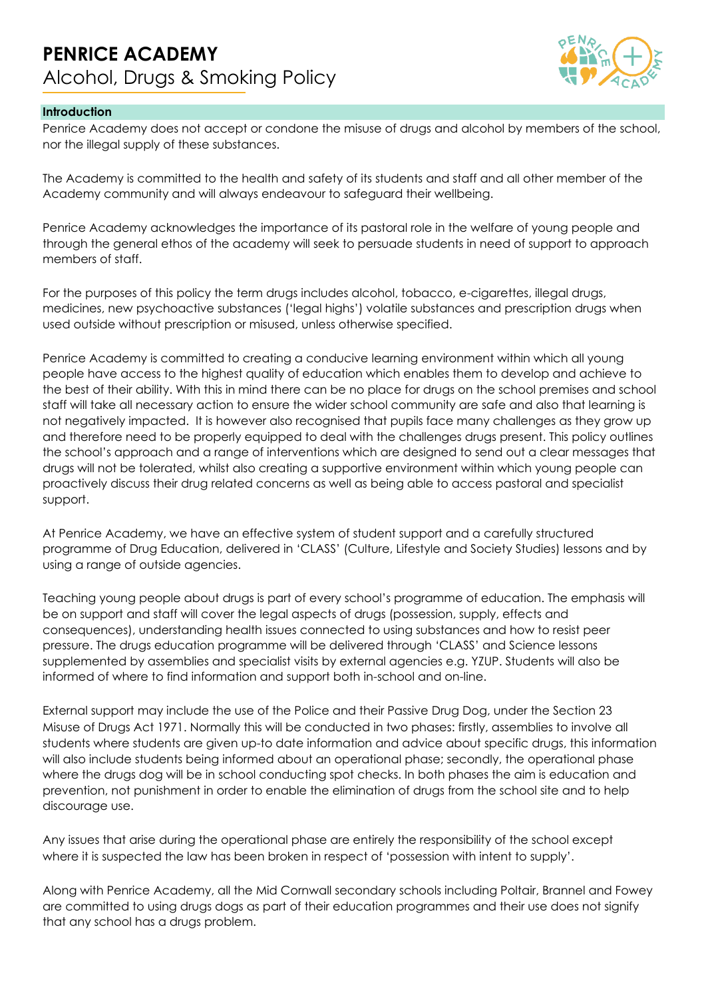

## **Introduction**

Penrice Academy does not accept or condone the misuse of drugs and alcohol by members of the school, nor the illegal supply of these substances.

The Academy is committed to the health and safety of its students and staff and all other member of the Academy community and will always endeavour to safeguard their wellbeing.

Penrice Academy acknowledges the importance of its pastoral role in the welfare of young people and through the general ethos of the academy will seek to persuade students in need of support to approach members of staff.

For the purposes of this policy the term drugs includes alcohol, tobacco, e-cigarettes, illegal drugs, medicines, new psychoactive substances ('legal highs') volatile substances and prescription drugs when used outside without prescription or misused, unless otherwise specified.

Penrice Academy is committed to creating a conducive learning environment within which all young people have access to the highest quality of education which enables them to develop and achieve to the best of their ability. With this in mind there can be no place for drugs on the school premises and school staff will take all necessary action to ensure the wider school community are safe and also that learning is not negatively impacted. It is however also recognised that pupils face many challenges as they grow up and therefore need to be properly equipped to deal with the challenges drugs present. This policy outlines the school's approach and a range of interventions which are designed to send out a clear messages that drugs will not be tolerated, whilst also creating a supportive environment within which young people can proactively discuss their drug related concerns as well as being able to access pastoral and specialist support.

At Penrice Academy, we have an effective system of student support and a carefully structured programme of Drug Education, delivered in 'CLASS' (Culture, Lifestyle and Society Studies) lessons and by using a range of outside agencies.

Teaching young people about drugs is part of every school's programme of education. The emphasis will be on support and staff will cover the legal aspects of drugs (possession, supply, effects and consequences), understanding health issues connected to using substances and how to resist peer pressure. The drugs education programme will be delivered through 'CLASS' and Science lessons supplemented by assemblies and specialist visits by external agencies e.g. YZUP. Students will also be informed of where to find information and support both in-school and on-line.

External support may include the use of the Police and their Passive Drug Dog, under the Section 23 Misuse of Drugs Act 1971. Normally this will be conducted in two phases: firstly, assemblies to involve all students where students are given up-to date information and advice about specific drugs, this information will also include students being informed about an operational phase; secondly, the operational phase where the drugs dog will be in school conducting spot checks. In both phases the aim is education and prevention, not punishment in order to enable the elimination of drugs from the school site and to help discourage use.

Any issues that arise during the operational phase are entirely the responsibility of the school except where it is suspected the law has been broken in respect of 'possession with intent to supply'.

Along with Penrice Academy, all the Mid Cornwall secondary schools including Poltair, Brannel and Fowey are committed to using drugs dogs as part of their education programmes and their use does not signify that any school has a drugs problem.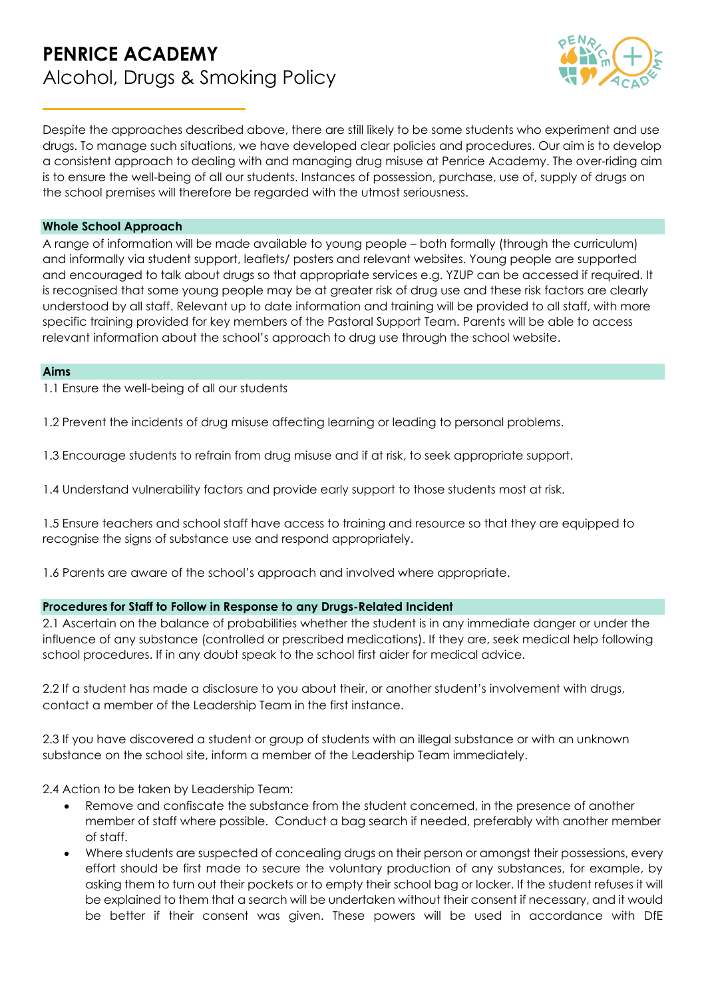

Despite the approaches described above, there are still likely to be some students who experiment and use drugs. To manage such situations, we have developed clear policies and procedures. Our aim is to develop a consistent approach to dealing with and managing drug misuse at Penrice Academy. The over-riding aim is to ensure the well-being of all our students. Instances of possession, purchase, use of, supply of drugs on the school premises will therefore be regarded with the utmost seriousness.

#### **Whole School Approach**

A range of information will be made available to young people – both formally (through the curriculum) and informally via student support, leaflets/ posters and relevant websites. Young people are supported and encouraged to talk about drugs so that appropriate services e.g. YZUP can be accessed if required. It is recognised that some young people may be at greater risk of drug use and these risk factors are clearly understood by all staff. Relevant up to date information and training will be provided to all staff, with more specific training provided for key members of the Pastoral Support Team. Parents will be able to access relevant information about the school's approach to drug use through the school website.

#### **Aims**

1.1 Ensure the well-being of all our students

1.2 Prevent the incidents of drug misuse affecting learning or leading to personal problems.

1.3 Encourage students to refrain from drug misuse and if at risk, to seek appropriate support.

1.4 Understand vulnerability factors and provide early support to those students most at risk.

1.5 Ensure teachers and school staff have access to training and resource so that they are equipped to recognise the signs of substance use and respond appropriately.

1.6 Parents are aware of the school's approach and involved where appropriate.

#### **Procedures for Staff to Follow in Response to any Drugs-Related Incident**

2.1 Ascertain on the balance of probabilities whether the student is in any immediate danger or under the influence of any substance (controlled or prescribed medications). If they are, seek medical help following school procedures. If in any doubt speak to the school first aider for medical advice.

2.2 If a student has made a disclosure to you about their, or another student's involvement with drugs, contact a member of the Leadership Team in the first instance.

2.3 If you have discovered a student or group of students with an illegal substance or with an unknown substance on the school site, inform a member of the Leadership Team immediately.

2.4 Action to be taken by Leadership Team:

- Remove and confiscate the substance from the student concerned, in the presence of another member of staff where possible. Conduct a bag search if needed, preferably with another member of staff.
- Where students are suspected of concealing drugs on their person or amongst their possessions, every effort should be first made to secure the voluntary production of any substances, for example, by asking them to turn out their pockets or to empty their school bag or locker. If the student refuses it will be explained to them that a search will be undertaken without their consent if necessary, and it would be better if their consent was given. These powers will be used in accordance with DfE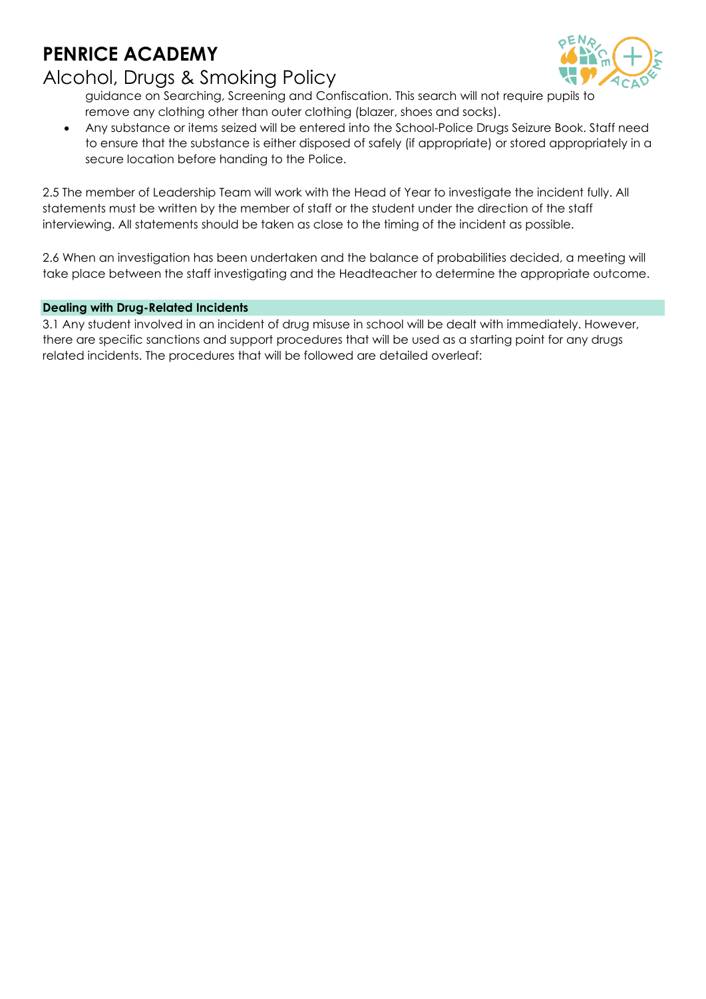# **PENRICE ACADEMY**

## Alcohol, Drugs & Smoking Policy

guidance on Searching, Screening and Confiscation. This search will not require pupils to remove any clothing other than outer clothing (blazer, shoes and socks).

• Any substance or items seized will be entered into the School-Police Drugs Seizure Book. Staff need to ensure that the substance is either disposed of safely (if appropriate) or stored appropriately in a secure location before handing to the Police.

2.5 The member of Leadership Team will work with the Head of Year to investigate the incident fully. All statements must be written by the member of staff or the student under the direction of the staff interviewing. All statements should be taken as close to the timing of the incident as possible.

2.6 When an investigation has been undertaken and the balance of probabilities decided, a meeting will take place between the staff investigating and the Headteacher to determine the appropriate outcome.

## **Dealing with Drug-Related Incidents**

3.1 Any student involved in an incident of drug misuse in school will be dealt with immediately. However, there are specific sanctions and support procedures that will be used as a starting point for any drugs related incidents. The procedures that will be followed are detailed overleaf: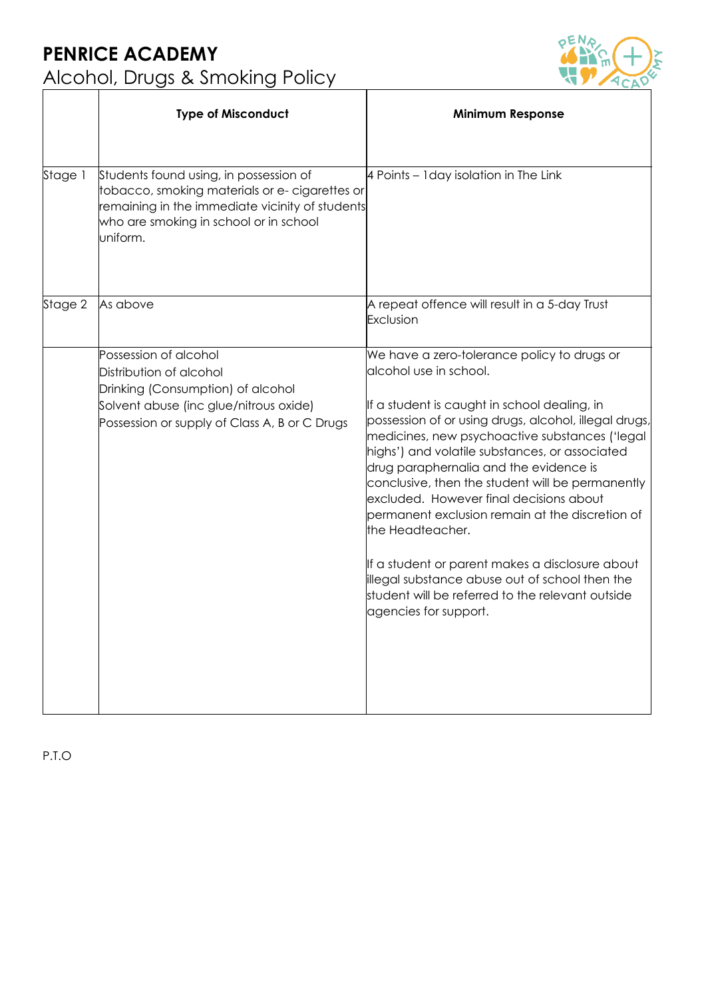

|         | <b>Type of Misconduct</b>                                                                                                                                                                         | <b>Minimum Response</b>                                                                                                                                                                                                                                                                                                                                                                                                                                                                                                                                                                                                                                                              |
|---------|---------------------------------------------------------------------------------------------------------------------------------------------------------------------------------------------------|--------------------------------------------------------------------------------------------------------------------------------------------------------------------------------------------------------------------------------------------------------------------------------------------------------------------------------------------------------------------------------------------------------------------------------------------------------------------------------------------------------------------------------------------------------------------------------------------------------------------------------------------------------------------------------------|
| Stage 1 | Students found using, in possession of<br>tobacco, smoking materials or e- cigarettes or<br>remaining in the immediate vicinity of students<br>who are smoking in school or in school<br>uniform. | 4 Points - Iday isolation in The Link                                                                                                                                                                                                                                                                                                                                                                                                                                                                                                                                                                                                                                                |
| Stage 2 | As above                                                                                                                                                                                          | A repeat offence will result in a 5-day Trust<br>Exclusion                                                                                                                                                                                                                                                                                                                                                                                                                                                                                                                                                                                                                           |
|         | Possession of alcohol<br>Distribution of alcohol<br>Drinking (Consumption) of alcohol<br>Solvent abuse (inc glue/nitrous oxide)<br>Possession or supply of Class A, B or C Drugs                  | We have a zero-tolerance policy to drugs or<br>alcohol use in school.<br>If a student is caught in school dealing, in<br>possession of or using drugs, alcohol, illegal drugs,<br>medicines, new psychoactive substances ('legal<br>highs') and volatile substances, or associated<br>drug paraphernalia and the evidence is<br>conclusive, then the student will be permanently<br>excluded. However final decisions about<br>permanent exclusion remain at the discretion of<br>the Headteacher.<br>If a student or parent makes a disclosure about<br>illegal substance abuse out of school then the<br>student will be referred to the relevant outside<br>agencies for support. |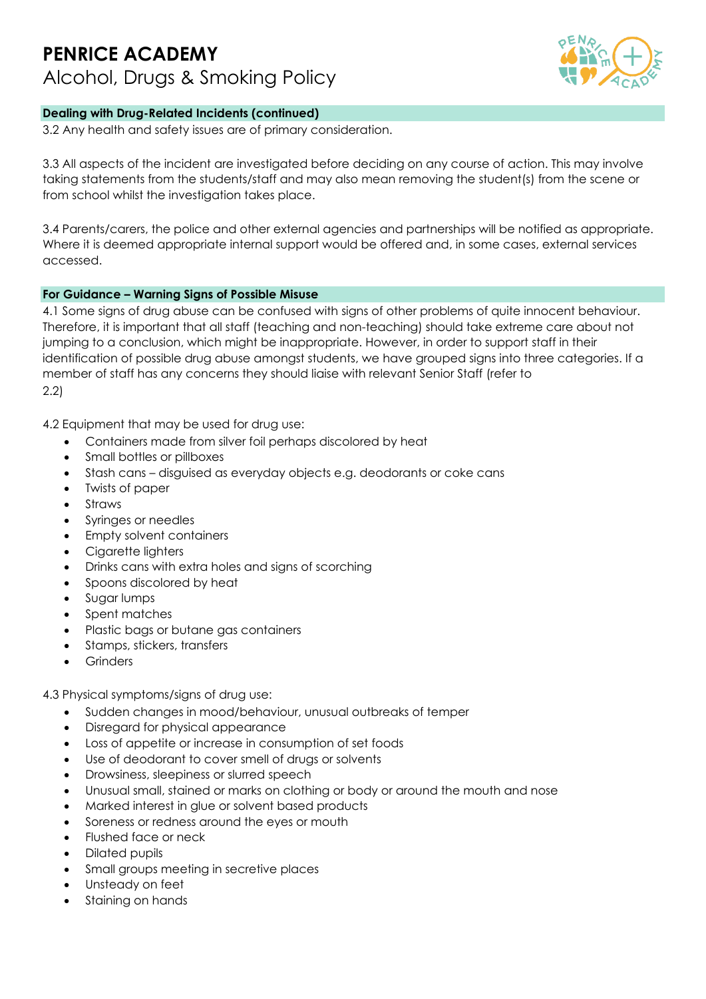

## **Dealing with Drug-Related Incidents (continued)**

3.2 Any health and safety issues are of primary consideration.

3.3 All aspects of the incident are investigated before deciding on any course of action. This may involve taking statements from the students/staff and may also mean removing the student(s) from the scene or from school whilst the investigation takes place.

3.4 Parents/carers, the police and other external agencies and partnerships will be notified as appropriate. Where it is deemed appropriate internal support would be offered and, in some cases, external services accessed.

### **For Guidance – Warning Signs of Possible Misuse**

4.1 Some signs of drug abuse can be confused with signs of other problems of quite innocent behaviour. Therefore, it is important that all staff (teaching and non-teaching) should take extreme care about not jumping to a conclusion, which might be inappropriate. However, in order to support staff in their identification of possible drug abuse amongst students, we have grouped signs into three categories. If a member of staff has any concerns they should liaise with relevant Senior Staff (refer to 2.2)

4.2 Equipment that may be used for drug use:

- Containers made from silver foil perhaps discolored by heat
- Small bottles or pillboxes
- Stash cans disguised as everyday objects e.g. deodorants or coke cans
- Twists of paper
- Straws
- Syringes or needles
- Empty solvent containers
- Cigarette lighters
- Drinks cans with extra holes and signs of scorching
- Spoons discolored by heat
- Sugar lumps
- Spent matches
- Plastic bags or butane gas containers
- Stamps, stickers, transfers
- **Grinders**

4.3 Physical symptoms/signs of drug use:

- Sudden changes in mood/behaviour, unusual outbreaks of temper
- Disregard for physical appearance
- Loss of appetite or increase in consumption of set foods
- Use of deodorant to cover smell of drugs or solvents
- Drowsiness, sleepiness or slurred speech
- Unusual small, stained or marks on clothing or body or around the mouth and nose
- Marked interest in glue or solvent based products
- Soreness or redness around the eyes or mouth
- Flushed face or neck
- Dilated pupils
- Small groups meeting in secretive places
- Unsteady on feet
- Staining on hands